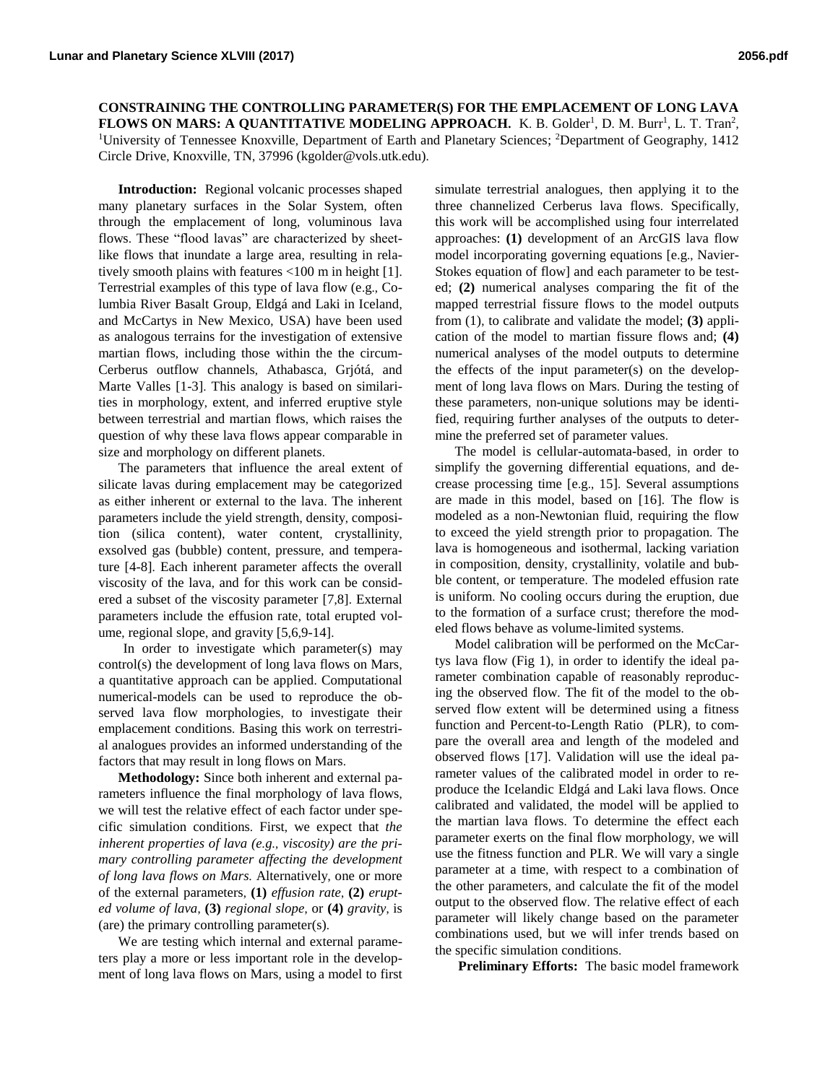**CONSTRAINING THE CONTROLLING PARAMETER(S) FOR THE EMPLACEMENT OF LONG LAVA FLOWS ON MARS: A QUANTITATIVE MODELING APPROACH.** K. B. Golder<sup>1</sup>, D. M. Burr<sup>1</sup>, L. T. Tran<sup>2</sup>, <sup>1</sup>University of Tennessee Knoxville, Department of Earth and Planetary Sciences; <sup>2</sup>Department of Geography, 1412 Circle Drive, Knoxville, TN, 37996 (kgolder@vols.utk.edu).

**Introduction:** Regional volcanic processes shaped many planetary surfaces in the Solar System, often through the emplacement of long, voluminous lava flows. These "flood lavas" are characterized by sheetlike flows that inundate a large area, resulting in relatively smooth plains with features <100 m in height [1]. Terrestrial examples of this type of lava flow (e.g., Columbia River Basalt Group, Eldgá and Laki in Iceland, and McCartys in New Mexico, USA) have been used as analogous terrains for the investigation of extensive martian flows, including those within the the circum-Cerberus outflow channels, Athabasca, Grjótá, and Marte Valles [1-3]. This analogy is based on similarities in morphology, extent, and inferred eruptive style between terrestrial and martian flows, which raises the question of why these lava flows appear comparable in size and morphology on different planets.

The parameters that influence the areal extent of silicate lavas during emplacement may be categorized as either inherent or external to the lava. The inherent parameters include the yield strength, density, composition (silica content), water content, crystallinity, exsolved gas (bubble) content, pressure, and temperature [4-8]. Each inherent parameter affects the overall viscosity of the lava, and for this work can be considered a subset of the viscosity parameter [7,8]. External parameters include the effusion rate, total erupted volume, regional slope, and gravity [5,6,9-14].

In order to investigate which parameter(s) may control(s) the development of long lava flows on Mars, a quantitative approach can be applied. Computational numerical-models can be used to reproduce the observed lava flow morphologies, to investigate their emplacement conditions. Basing this work on terrestrial analogues provides an informed understanding of the factors that may result in long flows on Mars.

**Methodology:** Since both inherent and external parameters influence the final morphology of lava flows, we will test the relative effect of each factor under specific simulation conditions. First, we expect that *the inherent properties of lava (e.g., viscosity) are the primary controlling parameter affecting the development of long lava flows on Mars.* Alternatively, one or more of the external parameters, **(1)** *effusion rate*, **(2)** *erupted volume of lava*, **(3)** *regional slope*, or **(4)** *gravity*, is (are) the primary controlling parameter(s).

We are testing which internal and external parameters play a more or less important role in the development of long lava flows on Mars, using a model to first simulate terrestrial analogues, then applying it to the three channelized Cerberus lava flows. Specifically, this work will be accomplished using four interrelated approaches: **(1)** development of an ArcGIS lava flow model incorporating governing equations [e.g., Navier-Stokes equation of flow] and each parameter to be tested; **(2)** numerical analyses comparing the fit of the mapped terrestrial fissure flows to the model outputs from (1), to calibrate and validate the model; **(3)** application of the model to martian fissure flows and; **(4)** numerical analyses of the model outputs to determine the effects of the input parameter(s) on the development of long lava flows on Mars. During the testing of these parameters, non-unique solutions may be identified, requiring further analyses of the outputs to determine the preferred set of parameter values.

The model is cellular-automata-based, in order to simplify the governing differential equations, and decrease processing time [e.g., 15]. Several assumptions are made in this model, based on [16]. The flow is modeled as a non-Newtonian fluid, requiring the flow to exceed the yield strength prior to propagation. The lava is homogeneous and isothermal, lacking variation in composition, density, crystallinity, volatile and bubble content, or temperature. The modeled effusion rate is uniform. No cooling occurs during the eruption, due to the formation of a surface crust; therefore the modeled flows behave as volume-limited systems.

Model calibration will be performed on the McCartys lava flow (Fig 1), in order to identify the ideal parameter combination capable of reasonably reproducing the observed flow. The fit of the model to the observed flow extent will be determined using a fitness function and Percent-to-Length Ratio (PLR), to compare the overall area and length of the modeled and observed flows [17]. Validation will use the ideal parameter values of the calibrated model in order to reproduce the Icelandic Eldgá and Laki lava flows. Once calibrated and validated, the model will be applied to the martian lava flows. To determine the effect each parameter exerts on the final flow morphology, we will use the fitness function and PLR. We will vary a single parameter at a time, with respect to a combination of the other parameters, and calculate the fit of the model output to the observed flow. The relative effect of each parameter will likely change based on the parameter combinations used, but we will infer trends based on the specific simulation conditions.

**Preliminary Efforts:** The basic model framework